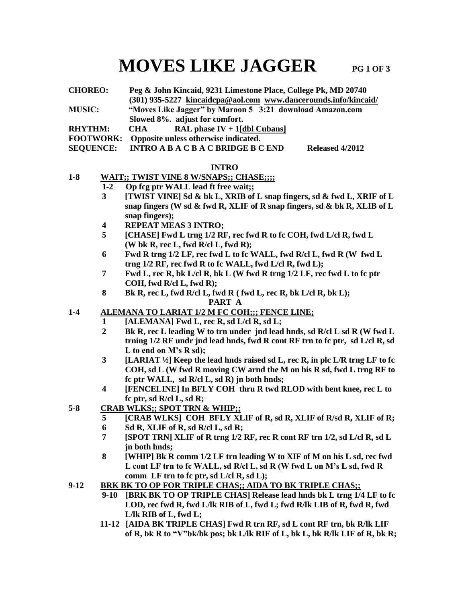# **MOVES LIKE JAGGER** PG 1 OF 3

**CHOREO: Peg & John Kincaid, 9231 Limestone Place, College Pk, MD 20740 (301) 935-5227 [kincaidcpa@aol.com](mailto:kincaidcpa@aol.com) [www.dancerounds.info/kincaid/](http://www.dancerounds.info/kincaid/) MUSIC: "Moves Like Jagger" by Maroon 5 3:21 download Amazon.com Slowed 8%. adjust for comfort. RHYTHM: CHA RAL phase IV + 1[dbl Cubans] FOOTWORK: Opposite unless otherwise indicated.**

**SEQUENCE: INTRO A B A C B A C BRIDGE B C END Released 4/2012**

#### **INTRO**

### **1-8 WAIT;; TWIST VINE 8 W/SNAPS;; CHASE;;;;**

- **1-2 Op fcg ptr WALL lead ft free wait;;**
	- **3 [TWIST VINE] Sd & bk L, XRIB of L snap fingers, sd & fwd L, XRIF of L snap fingers (W sd & fwd R, XLIF of R snap fingers, sd & bk R, XLIB of L snap fingers);**
	- **4 REPEAT MEAS 3 INTRO;**
	- **5 [CHASE] Fwd L trng 1/2 RF, rec fwd R to fc COH, fwd L/cl R, fwd L (W bk R, rec L, fwd R/cl L, fwd R);**
	- **6 Fwd R trng 1/2 LF, rec fwd L to fc WALL, fwd R/cl L, fwd R (W fwd L trng 1/2 RF, rec fwd R to fc WALL, fwd L/cl R, fwd L);**
	- **7 Fwd L, rec R, bk L/cl R, bk L (W fwd R trng 1/2 LF, rec fwd L to fc ptr COH, fwd R/cl L, fwd R);**
	- **8 Bk R, rec L, fwd R/cl L, fwd R ( fwd L, rec R, bk L/cl R, bk L);**
		- **PART A**

## **1-4 ALEMANA TO LARIAT 1/2 M FC COH;;; FENCE LINE;**

- **1 [ALEMANA] Fwd L, rec R, sd L/cl R, sd L;**
- **2 Bk R, rec L leading W to trn under jnd lead hnds, sd R/cl L sd R (W fwd L trning 1/2 RF undr jnd lead hnds, fwd R cont RF trn to fc ptr, sd L/cl R, sd L to end on M's R sd);**
- **3 [LARIAT ½] Keep the lead hnds raised sd L, rec R, in plc L/R trng LF to fc COH, sd L (W fwd R moving CW arnd the M on his R sd, fwd L trng RF to fc ptr WALL, sd R/cl L, sd R) jn both hnds;**
- **4 [FENCELINE] In BFLY COH thru R twd RLOD with bent knee, rec L to fc ptr, sd R/cl L, sd R;**
- **5-8 CRAB WLKS;; SPOT TRN & WHIP;;**
	- **5 [CRAB WLKS] COH BFLY XLIF of R, sd R, XLIF of R/sd R, XLIF of R; 6 Sd R, XLIF of R, sd R/cl L, sd R;**
	- **7 [SPOT TRN] XLIF of R trng 1/2 RF, rec R cont RF trn 1/2, sd L/cl R, sd L**
	- **jn both hnds; 8 [WHIP] Bk R comm 1/2 LF trn leading W to XIF of M on his L sd, rec fwd L cont LF trn to fc WALL, sd R/cl L, sd R (W fwd L on M's L sd, fwd R comm LF trn to fc ptr, sd L/cl R, sd L);**
- **9-12 BRK BK TO OP FOR TRIPLE CHAS;; AIDA TO BK TRIPLE CHAS;;**
	- **9-10 [BRK BK TO OP TRIPLE CHAS] Release lead hnds bk L trng 1/4 LF to fc LOD, rec fwd R, fwd L/lk RIB of L, fwd L; fwd R/lk LIB of R, fwd R, fwd L/lk RIB of L, fwd L;**
	- **11-12 [AIDA BK TRIPLE CHAS] Fwd R trn RF, sd L cont RF trn, bk R/lk LIF of R, bk R to "V"bk/bk pos; bk L/lk RIF of L, bk L, bk R/lk LIF of R, bk R;**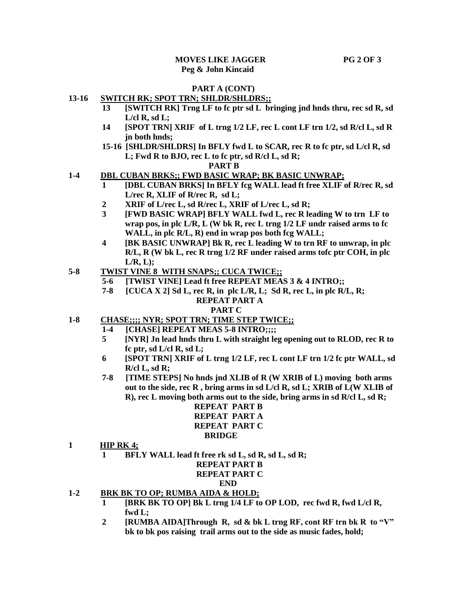#### **PART A (CONT)**

#### **13-16 SWITCH RK; SPOT TRN; SHLDR/SHLDRS;;**

- **13 [SWITCH RK] Trng LF to fc ptr sd L bringing jnd hnds thru, rec sd R, sd L/cl R, sd L;**
- **14 [SPOT TRN] XRIF of L trng 1/2 LF, rec L cont LF trn 1/2, sd R/cl L, sd R jn both hnds;**
- **15-16 [SHLDR/SHLDRS] In BFLY fwd L to SCAR, rec R to fc ptr, sd L/cl R, sd L; Fwd R to BJO, rec L to fc ptr, sd R/cl L, sd R;**

#### **PART B**

#### **1-4 DBL CUBAN BRKS;; FWD BASIC WRAP; BK BASIC UNWRAP;**

- **[DBL CUBAN BRKS] In BFLY fcg WALL lead ft free XLIF of R/rec R, sd L/rec R, XLIF of R/rec R, sd L;**
- **2 XRIF of L/rec L, sd R/rec L, XRIF of L/rec L, sd R;**
- **3 [FWD BASIC WRAP] BFLY WALL fwd L, rec R leading W to trn LF to wrap pos, in plc L/R, L (W bk R, rec L trng 1/2 LF undr raised arms to fc WALL, in plc R/L, R) end in wrap pos both fcg WALL;**
- **4 [BK BASIC UNWRAP] Bk R, rec L leading W to trn RF to unwrap, in plc R/L, R (W bk L, rec R trng 1/2 RF under raised arms tofc ptr COH, in plc L/R, L);**
- **5-8 TWIST VINE 8 WITH SNAPS;; CUCA TWICE;;**
	- **5-6 [TWIST VINE] Lead ft free REPEAT MEAS 3 & 4 INTRO;;**
	- **7-8 [CUCA X 2] Sd L, rec R, in plc L/R, L; Sd R, rec L, in plc R/L, R;**

#### **REPEAT PART A**

#### **PART C**

- **1-8 CHASE;;;; NYR; SPOT TRN; TIME STEP TWICE;;**
	- **1-4 [CHASE] REPEAT MEAS 5-8 INTRO;;;;**
	- **5 [NYR] Jn lead hnds thru L with straight leg opening out to RLOD, rec R to fc ptr, sd L/cl R, sd L;**
	- **6 [SPOT TRN] XRIF of L trng 1/2 LF, rec L cont LF trn 1/2 fc ptr WALL, sd R/cl L, sd R;**
	- **7-8 [TIME STEPS] No hnds jnd XLIB of R (W XRIB of L) moving both arms out to the side, rec R , bring arms in sd L/cl R, sd L; XRIB of L(W XLIB of R), rec L moving both arms out to the side, bring arms in sd R/cl L, sd R;**

 **REPEAT PART B REPEAT PART A REPEAT PART C BRIDGE**

- **1 HIP RK 4;**
	- **BFLY WALL lead ft free rk sd L, sd R, sd L, sd R;**

# **REPEAT PART B REPEAT PART C**

#### **END**

- **1-2 BRK BK TO OP; RUMBA AIDA & HOLD;**
	- **1 [BRK BK TO OP] Bk L trng 1/4 LF to OP LOD, rec fwd R, fwd L/cl R, fwd L;**
	- **2 [RUMBA AIDA]Through R, sd & bk L trng RF, cont RF trn bk R to "V" bk to bk pos raising trail arms out to the side as music fades, hold;**